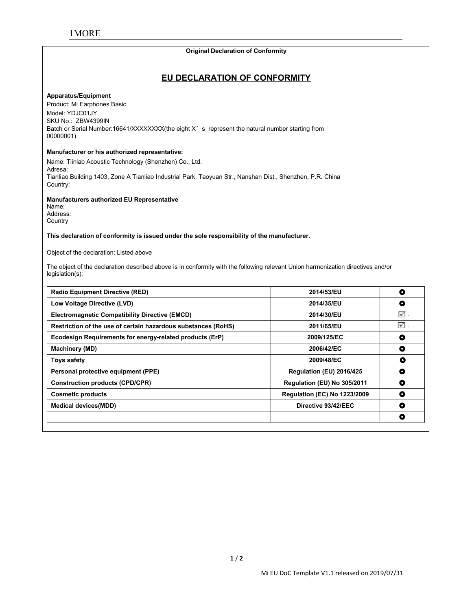# **Original Declaration of Conformity**

#### **Apparatus/Equipment**

**EU DECLARATION OF CONFORMITY** MORE<br>
Product: Mi Earphones Basic<br>
Model: YDJC01JY<br>
Rich or Serial Number:16641/XXXXXXX(the eight X's MORE<br>Apparatus/Equipment<br>Product: Mi Earphones Basic<br>Model: YDJC01JY<br>SKU No.: ZBW4399IN<br>Batch or Serial Number:16641/XXXXXXX(the<br>00000001) MORE<br>
MORE<br>
Apparatus/Equipment<br>
Product: Mi Earphones Basic<br>
Model: YDJC01JY<br>
SKU No.: ZBW4399IN<br>
Batch or Serial Number:16641/XXXXXXXX(the eight X<br>
00000001)<br>
Manufacturer or his authorized representative: Original Declaration of Conformity<br>
EU DECLARATION OF CONFORMITY<br>
Product Mi Earphones Basic<br>
Model: YDJC01JY<br>
SKU No.: ZBW4399IN<br>
Batch or Serial Number:16641/XXXXXXX(the eight X's represent the natural number starting fr 00000001) **EU DECLARATIO**<br> **Apparatus/Equipment**<br>
Product: Mi Earphones Basic<br>
Model: YDJC01JY<br>
SKU No.: ZBW4399IN<br>
Batch or Serial Number:16641/XXXXXXXX(the eight X's represent<br>
00000001)<br> **Manufacturer or his authorized representa EU DECLARATION OF CONFO**<br>
Product: Mi Earphones Basic<br>
Model: YDJC01JY<br>
SKU No.: ZBW4399IN<br>
Batch or Serial Number:16641/XXXXXXX(the eight X's represent the natural numbe<br>
00000001)<br>
Manufacturer or his authorized represe Apparatus/Equipment<br>Product: Mi Earphones Basic<br>Model: YDJC01JY<br>SKU No.: ZBW4399IN<br>Batch or Serial Number:16641/XXXXXXXX(the eight X's represent the natural number starting from<br>00000001)<br>Manufacturer or his authorized rep

Adresa:<br>Tianliao Building 1403, Zone A Tianliao Industrial Park, Taoyuan Str., Nanshan Dist., Shenzhen, P.R. China Country: Model: YDJC01JY<br>SKU No.: ZBW4399IN<br>Batch or Serial Number:16641/XXXXXXXX(the eight X's represent the<br>00000001)<br>**Manufacturer or his authorized representative:**<br>Name: Tiinlab Acoustic Technology (Shenzhen) Co., Ltd.<br>Adresa: **Manufacturer or his authorized representative:**<br>
Name: Tiinlab Acoustic Technology (Shenzhen) Co., Ltd.<br>
Adresa:<br>
Thanliao Building 1403, Zone A Tianliao Industrial Park, Taoyuan Str., Nanshan Dist., Shenzhen, P.R. China<br> Name: Tiinlab Acoustic Technology (Shenzhen) Co., Ltd.<br>Adresa:<br>Tianliao Building 1403, Zone A Tianliao Industrial Park, Taoyuan S<br>Country:<br>**Manufacturers authorized EU Representative**<br>Name:<br>Address:<br>Country<br>Th**is declarati** 

Tianilao Building 1403, Zone A Tianliao Industrial Park, Taoyuan Str., Nanshan Dist., Shenzhen, P.R. China<br>Manufacturers authorized EU Representative<br>Address:<br>Name:<br>Country<br>County<br>County<br>County of the declaration of confor legislation(s):

| Name:<br>Address:                                                                                                                                      |                                     |                |
|--------------------------------------------------------------------------------------------------------------------------------------------------------|-------------------------------------|----------------|
| Country                                                                                                                                                |                                     |                |
| This declaration of conformity is issued under the sole responsibility of the manufacturer.                                                            |                                     |                |
| Object of the declaration: Listed above                                                                                                                |                                     |                |
| The object of the declaration described above is in conformity with the following relevant Union harmonization directives and/or<br>$legislation(s)$ : |                                     |                |
| <b>Radio Equipment Directive (RED)</b>                                                                                                                 | 2014/53/EU                          | $\bullet$      |
| Low Voltage Directive (LVD)                                                                                                                            | 2014/35/EU                          | $\bullet$      |
| <b>Electromagnetic Compatibility Directive (EMCD)</b>                                                                                                  | 2014/30/EU                          | ☑              |
| Restriction of the use of certain hazardous substances (RoHS)                                                                                          | 2011/65/EU                          | $\blacksquare$ |
| Ecodesign Requirements for energy-related products (ErP)                                                                                               | 2009/125/EC                         | $\bullet$      |
| <b>Machinery (MD)</b>                                                                                                                                  | 2006/42/EC                          | $\bullet$      |
| <b>Toys safety</b>                                                                                                                                     | 2009/48/EC                          | $\bullet$      |
| Personal protective equipment (PPE)                                                                                                                    | Regulation (EU) 2016/425            | $\bullet$      |
| <b>Construction products (CPD/CPR)</b>                                                                                                                 | Regulation (EU) No 305/2011         | $\bullet$      |
| <b>Cosmetic products</b>                                                                                                                               | <b>Regulation (EC) No 1223/2009</b> | $\bullet$      |
| <b>Medical devices(MDD)</b>                                                                                                                            | Directive 93/42/EEC                 | $\bullet$      |
|                                                                                                                                                        |                                     | $\bullet$      |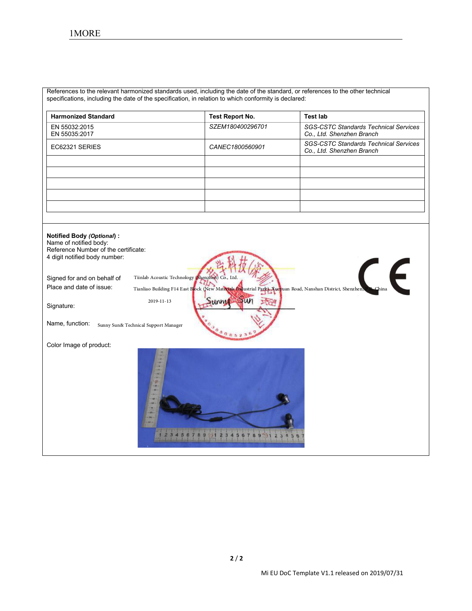| 1MORE                                                          |                                                                                                                                |                                                                           |
|----------------------------------------------------------------|--------------------------------------------------------------------------------------------------------------------------------|---------------------------------------------------------------------------|
|                                                                |                                                                                                                                |                                                                           |
|                                                                |                                                                                                                                |                                                                           |
|                                                                |                                                                                                                                |                                                                           |
|                                                                |                                                                                                                                |                                                                           |
|                                                                | References to the relevant harmonized standards used, including the date of the standard, or references to the other technical |                                                                           |
|                                                                | specifications, including the date of the specification, in relation to which conformity is declared:                          |                                                                           |
| <b>Harmonized Standard</b>                                     | <b>Test Report No.</b>                                                                                                         | <b>Test lab</b>                                                           |
| EN 55032:2015<br>EN 55035:2017                                 | SZEM180400296701                                                                                                               | <b>SGS-CSTC Standards Technical Services</b><br>Co., Ltd. Shenzhen Branch |
| EC62321 SERIES                                                 | CANEC1800560901                                                                                                                | <b>SGS-CSTC Standards Technical Services</b><br>Co., Ltd. Shenzhen Branch |
|                                                                |                                                                                                                                |                                                                           |
|                                                                |                                                                                                                                |                                                                           |
|                                                                |                                                                                                                                |                                                                           |
|                                                                |                                                                                                                                |                                                                           |
|                                                                |                                                                                                                                |                                                                           |
|                                                                |                                                                                                                                |                                                                           |
| <b>Notified Body (Optional):</b>                               |                                                                                                                                |                                                                           |
| Name of notified body:<br>Reference Number of the certificate: |                                                                                                                                |                                                                           |
| 4 digit notified body number:                                  |                                                                                                                                |                                                                           |
|                                                                |                                                                                                                                |                                                                           |
| Signed for and on behalf of                                    | Tiinlab Acoustic Technology (Shenzhen) Co., Ltd                                                                                |                                                                           |

| <b>Notified Body (Optional):</b><br>Name of notified body:<br>Reference Number of the certificate:<br>4 digit notified body number:                |
|----------------------------------------------------------------------------------------------------------------------------------------------------|
| Tiinlab Acoustic Technology (Shenzhen) Co., Ltd<br>Signed for and on behalf of<br>$\blacksquare$                                                   |
| Place and date of issue:<br>Tianliao Building F14 East Block (New Materials Industrial Park), Xueyuan Road, Nanshan District, Shenzhen, P.P. China |
| 2019-11-13<br>Signature:<br>Name, function:<br>Sunny Sun& Technical Support Manager                                                                |
| Color Image of product:                                                                                                                            |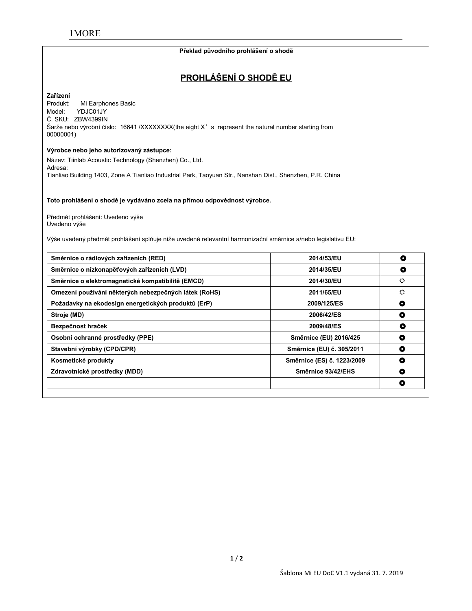#### **Překlad původního prohlášení o shodě**

# **PROHLÁŠENÍ O SHODĚ EU**

# **Zařízení**

Mi Earphones Basic Model: YDJC01JY Č. SKU: ZBW4399IN Šarže nebo výrobní číslo: 16641 /XXXXXXX(the eight X's represent the natural number starting from 00000001)

#### **Výrobce nebo jeho autorizovaný zástupce:**

Název: Tiinlab Acoustic Technology (Shenzhen) Co., Ltd. Adresa: Tianliao Building 1403, Zone A Tianliao Industrial Park, Taoyuan Str., Nanshan Dist., Shenzhen, P.R. China

**Toto prohlášení o shodě je vydáváno zcela na přímou odpovědnost výrobce.**

Předmět prohlášení: Uvedeno výše Uvedeno výše

Výše uvedený předmět prohlášení splňuje níže uvedené relevantní harmonizační směrnice a/nebo legislativu EU:

| Směrnice o rádiových zařízeních (RED)                 | 2014/53/EU                 | O |
|-------------------------------------------------------|----------------------------|---|
| Směrnice o nízkonapěťových zařízeních (LVD)           | 2014/35/EU                 | O |
| Směrnice o elektromagnetické kompatibilitě (EMCD)     | 2014/30/EU                 | ♦ |
| Omezení používání některých nebezpečných látek (RoHS) | 2011/65/EU                 | ٥ |
| Požadavky na ekodesign energetických produktů (ErP)   | 2009/125/ES                | O |
| Stroje (MD)                                           | 2006/42/ES                 | O |
| Bezpečnost hraček                                     | 2009/48/ES                 | O |
| Osobní ochranné prostředky (PPE)                      | Směrnice (EU) 2016/425     | O |
| Stavební výrobky (CPD/CPR)                            | Směrnice (EU) č. 305/2011  | О |
| Kosmetické produkty                                   | Směrnice (ES) č. 1223/2009 | O |
| Zdravotnické prostředky (MDD)                         | Směrnice 93/42/EHS         | O |
|                                                       |                            | о |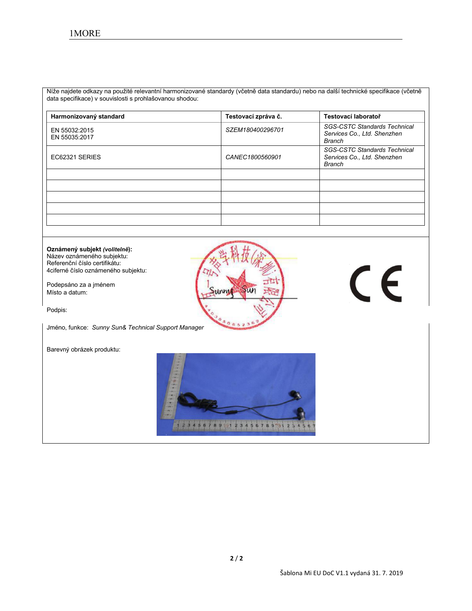Níže najdete odkazy na použité relevantní harmonizované standardy (včetně data standardu) nebo na další technické specifikace (včetně data specifikace) v souvislosti s prohlašovanou shodou:

| Harmonizovaný standard         | Testovací zpráva č. | Testovací laboratoř                                                          |
|--------------------------------|---------------------|------------------------------------------------------------------------------|
| EN 55032:2015<br>EN 55035:2017 | SZEM180400296701    | <b>SGS-CSTC Standards Technical</b><br>Services Co., Ltd. Shenzhen<br>Branch |
| EC62321 SERIES                 | CANEC1800560901     | <b>SGS-CSTC Standards Technical</b><br>Services Co., Ltd. Shenzhen<br>Branch |
|                                |                     |                                                                              |
|                                |                     |                                                                              |
|                                |                     |                                                                              |
|                                |                     |                                                                              |
|                                |                     |                                                                              |

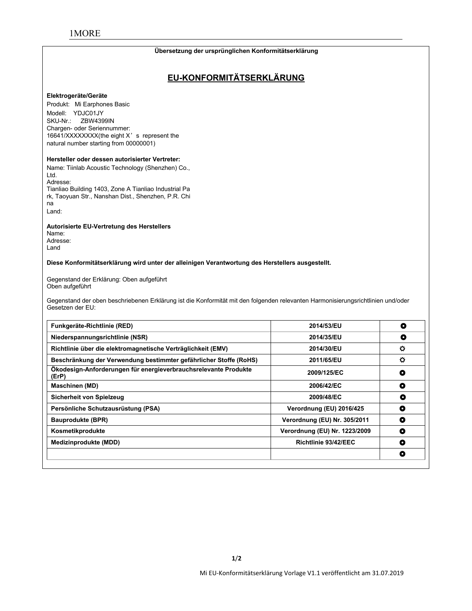#### **Übersetzung der ursprünglichen Konformitätserklärung**

# **EU-KONFORMITÄTSERKLÄRUNG**

#### **Elektrogeräte/Geräte**

Produkt: Mi Earphones Basic Modell: YDJC01JY SKU-Nr.: ZBW4399IN Chargen- oder Seriennummer: 16641/XXXXXXXX(the eight X's represent the natural number starting from 00000001)

#### **Hersteller oder dessen autorisierter Vertreter:**

Name: Tiinlab Acoustic Technology (Shenzhen) Co., Ltd. Adresse: Tianliao Building 1403, Zone A Tianliao Industrial Pa rk, Taoyuan Str., Nanshan Dist., Shenzhen, P.R. Chi na Land:

**Autorisierte EU-Vertretung des Herstellers**

Name: Adresse: Land

**Diese Konformitätserklärung wird unter der alleinigen Verantwortung des Herstellers ausgestellt.**

Gegenstand der Erklärung: Oben aufgeführt Oben aufgeführt

Gegenstand der oben beschriebenen Erklärung ist die Konformität mit den folgenden relevanten Harmonisierungsrichtlinien und/oder<br>Gesetzen der EU:

| Funkgeräte-Richtlinie (RED)                                              | 2014/53/EU                    | O              |
|--------------------------------------------------------------------------|-------------------------------|----------------|
| Niederspannungsrichtlinie (NSR)                                          | 2014/35/EU                    | O              |
| Richtlinie über die elektromagnetische Verträglichkeit (EMV)             | 2014/30/EU                    | $\circ$        |
| Beschränkung der Verwendung bestimmter gefährlicher Stoffe (RoHS)        | 2011/65/EU                    | $\ddot{\circ}$ |
| Ökodesign-Anforderungen für energieverbrauchsrelevante Produkte<br>(ErP) | 2009/125/EC                   | Q              |
| <b>Maschinen (MD)</b>                                                    | 2006/42/EC                    | O              |
| Sicherheit von Spielzeug                                                 | 2009/48/EC                    | О              |
| Persönliche Schutzausrüstung (PSA)                                       | Verordnung (EU) 2016/425      | ۰              |
| <b>Bauprodukte (BPR)</b>                                                 | Verordnung (EU) Nr. 305/2011  | O              |
| Kosmetikprodukte                                                         | Verordnung (EU) Nr. 1223/2009 | O              |
| Medizinprodukte (MDD)                                                    | Richtlinie 93/42/EEC          | O              |
|                                                                          |                               | O              |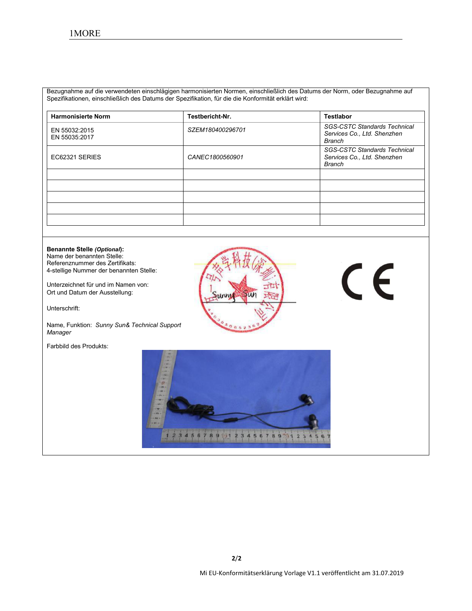Bezugnahme auf die verwendeten einschlägigen harmonisierten Normen, einschließlich des Datums der Norm, oder Bezugnahme auf Spezifikationen, einschließlich des Datums der Spezifikation, für die die Konformität erklärt wird:

| <b>Harmonisierte Norm</b>      | Testbericht-Nr.  | <b>Testlabor</b>                                                             |
|--------------------------------|------------------|------------------------------------------------------------------------------|
| EN 55032:2015<br>EN 55035:2017 | SZEM180400296701 | <b>SGS-CSTC Standards Technical</b><br>Services Co., Ltd. Shenzhen<br>Branch |
| EC62321 SERIES                 | CANEC1800560901  | <b>SGS-CSTC Standards Technical</b><br>Services Co., Ltd. Shenzhen<br>Branch |
|                                |                  |                                                                              |
|                                |                  |                                                                              |
|                                |                  |                                                                              |
|                                |                  |                                                                              |
|                                |                  |                                                                              |

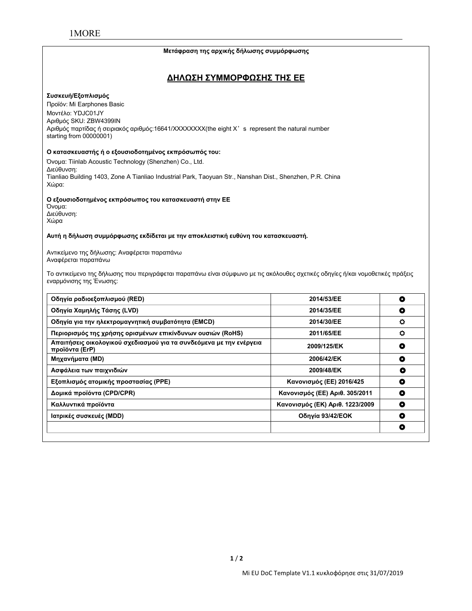#### **Μετάφραση της αρχικής δήλωσης συμμόρφωσης**

### **ΔΗΛΩΣΗ ΣΥΜΜΟΡΦΩΣΗΣ ΤΗΣ ΕΕ**

#### **Συσκευή/Εξοπλισμός**

Προϊόν: Mi Earphones Basic Μοντέλο: YDJC01JY Αριθμός SKU: ZBW4399IN Αριθμός παρτίδας ή σειριακός αριθμός:16641/XXXXXXXX(the eight X's represent the natural number starting from 00000001)

#### **Ο κατασκευαστής ή ο εξουσιοδοτημένος εκπρόσωπός του:**

Όνομα: Tiinlab Acoustic Technology (Shenzhen) Co., Ltd. Διεύθυνση: Tianliao Building 1403, Zone A Tianliao Industrial Park, Taoyuan Str., Nanshan Dist., Shenzhen, P.R. China Χώρα:

#### **Ο εξουσιοδοτημένος εκπρόσωπος του κατασκευαστή στην ΕΕ**

Όνομα: Διεύθυνση: Χώρα

#### **Αυτή η δήλωση συμμόρφωσης εκδίδεται με την αποκλειστική ευθύνη του κατασκευαστή.**

Αντικείμενο της δήλωσης: Αναφέρεται παραπάνω Αναφέρεται παραπάνω

Το αντικείμενο της δήλωσης που περιγράφεται παραπάνω είναι σύμφωνο με τις ακόλουθες σχετικές οδηγίες ή/και νομοθετικές πράξεις εναρμόνισης της Ένωσης:

| Οδηγία ραδιοεξοπλισμού (RED)                                                          | 2014/53/EE                      | ۰         |
|---------------------------------------------------------------------------------------|---------------------------------|-----------|
| Οδηγία Χαμηλής Τάσης (LVD)                                                            | 2014/35/EE                      | O         |
| Οδηγία για την ηλεκτρομαγνητική συμβατότητα (EMCD)                                    | 2014/30/EE                      | o         |
| Περιορισμός της χρήσης ορισμένων επικίνδυνων ουσιών (RoHS)                            | 2011/65/EE                      | $\bullet$ |
| Απαιτήσεις οικολογικού σχεδιασμού για τα συνδεόμενα με την ενέργεια<br>προϊόντα (ErP) | 2009/125/EK                     | O         |
| Μηχανήματα (MD)                                                                       | 2006/42/EK                      | ٥         |
| Ασφάλεια των παιχνιδιών                                                               | 2009/48/EK                      | O         |
| Εξοπλισμός ατομικής προστασίας (PPE)                                                  | Κανονισμός (ΕΕ) 2016/425        | O         |
| Δομικά προϊόντα (CPD/CPR)                                                             | Κανονισμός (ΕΕ) Αριθ. 305/2011  | O         |
| Καλλυντικά προϊόντα                                                                   | Κανονισμός (ΕΚ) Αριθ. 1223/2009 | O         |
| Ιατρικές συσκευές (MDD)                                                               | Οδηγία 93/42/ΕΟΚ                | O         |
|                                                                                       |                                 | O         |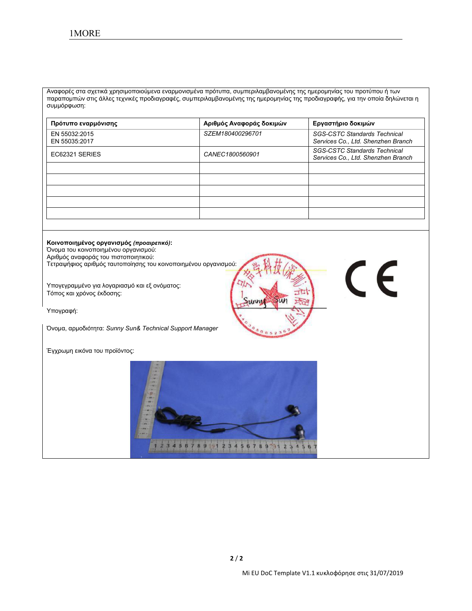Αναφορές στα σχετικά χρησιμοποιούμενα εναρμονισμένα πρότυπα, συμπεριλαμβανομένης της ημερομηνίας του προτύπου ή των παραπομπών στις άλλες τεχνικές προδιαγραφές, συμπεριλαμβανομένης της ημερομηνίας της προδιαγραφής, για την οποία δηλώνεται η συμμόρφωση:

| Πρότυπο εναρμόνισης            | Αριθμός Αναφοράς δοκιμών | Εργαστήριο δοκιμών                                                        |
|--------------------------------|--------------------------|---------------------------------------------------------------------------|
| EN 55032:2015<br>EN 55035:2017 | SZEM180400296701         | <b>SGS-CSTC Standards Technical</b><br>Services Co., Ltd. Shenzhen Branch |
| EC62321 SERIES                 | CANEC1800560901          | <b>SGS-CSTC Standards Technical</b><br>Services Co., Ltd. Shenzhen Branch |
|                                |                          |                                                                           |
|                                |                          |                                                                           |
|                                |                          |                                                                           |
|                                |                          |                                                                           |
|                                |                          |                                                                           |

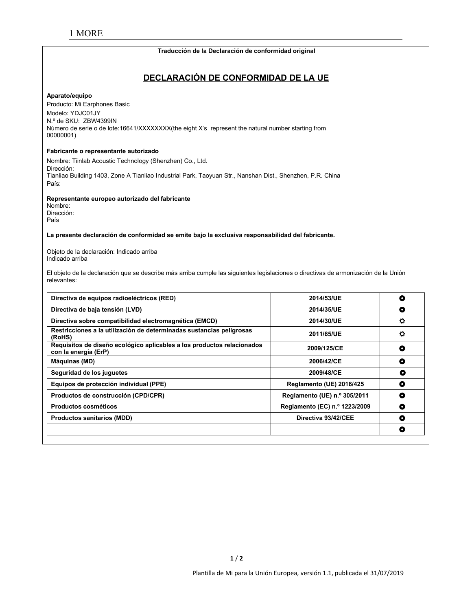#### **Traducción de la Declaración de conformidad original**

# **DECLARACIÓN DE CONFORMIDAD DE LA UE**

#### **Aparato/equipo**

Producto: Mi Earphones Basic Modelo: YDJC01JY N.º de SKU: ZBW4399IN Número de serie o de lote:16641/XXXXXXX(the eight X's represent the natural number starting from 00000001)

#### **Fabricante o representante autorizado**

Nombre: Tiinlab Acoustic Technology (Shenzhen) Co., Ltd. Dirección: Tianliao Building 1403, Zone A Tianliao Industrial Park, Taoyuan Str., Nanshan Dist., Shenzhen, P.R. China País:

**Representante europeo autorizado del fabricante**

Nombre: Dirección: País

**La presente declaración de conformidad se emite bajo laexclusiva responsabilidad del fabricante.**

Objeto de la declaración: Indicado arriba Indicado arriba

El objeto de la declaración que se describe más arriba cumple las siguientes legislaciones o directivas de armonización de la Unión relevantes:

| Directiva de equipos radioeléctricos (RED)                                                     | 2014/53/UE                    | O       |
|------------------------------------------------------------------------------------------------|-------------------------------|---------|
| Directiva de baja tensión (LVD)                                                                | 2014/35/UE                    | ٥       |
| Directiva sobre compatibilidad electromagnética (EMCD)                                         | 2014/30/UE                    | $\circ$ |
| Restricciones a la utilización de determinadas sustancias peligrosas<br>(RoHS)                 | 2011/65/UE                    | ٥       |
| Requisitos de diseño ecológico aplicables a los productos relacionados<br>con la energía (ErP) | 2009/125/CE                   | O       |
| Máquinas (MD)                                                                                  | 2006/42/CE                    | ٥       |
| Seguridad de los juguetes                                                                      | 2009/48/CE                    | O       |
| Equipos de protección individual (PPE)                                                         | Reglamento (UE) 2016/425      | O       |
| Productos de construcción (CPD/CPR)                                                            | Reglamento (UE) n.º 305/2011  | ۰       |
| Productos cosméticos                                                                           | Reglamento (EC) n.º 1223/2009 | ۰       |
| <b>Productos sanitarios (MDD)</b>                                                              | Directiva 93/42/CEE           | ٥       |
|                                                                                                |                               | O       |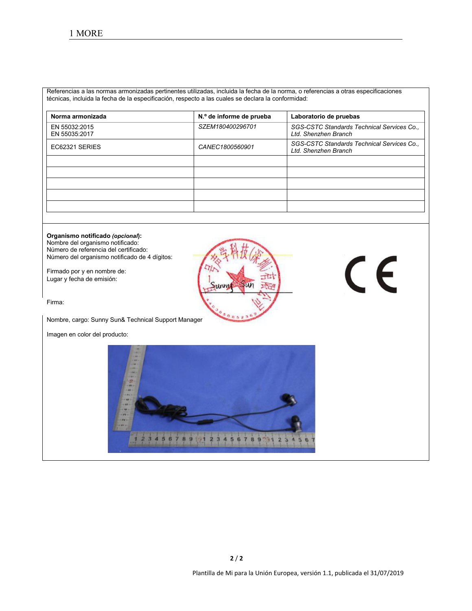Referencias a las normas armonizadas pertinentes utilizadas, incluida la fecha de la norma, o referencias a otras especificaciones técnicas, incluida la fecha de la especificación, respecto a las cuales se declara la conformidad:

| Norma armonizada               | N.º de informe de prueba | Laboratorio de pruebas                                             |
|--------------------------------|--------------------------|--------------------------------------------------------------------|
| EN 55032:2015<br>EN 55035:2017 | SZEM180400296701         | SGS-CSTC Standards Technical Services Co.,<br>Ltd. Shenzhen Branch |
| EC62321 SERIES                 | CANEC1800560901          | SGS-CSTC Standards Technical Services Co.,<br>Ltd. Shenzhen Branch |
|                                |                          |                                                                    |
|                                |                          |                                                                    |
|                                |                          |                                                                    |
|                                |                          |                                                                    |
|                                |                          |                                                                    |

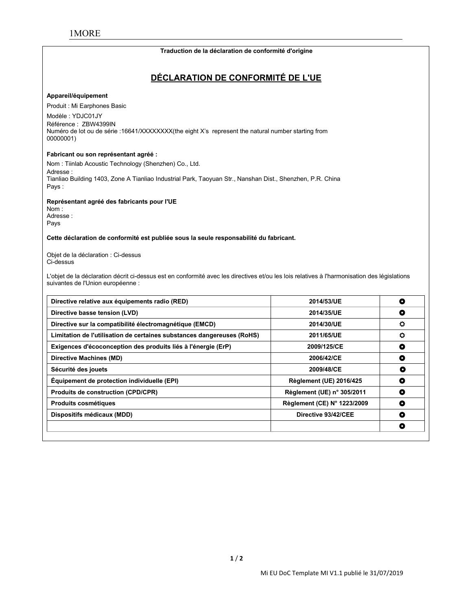#### **Traduction de la déclaration de conformité d'origine**

# **DÉCLARATION DE CONFORMITÉ DE L'UE**

#### **Appareil/équipement**

Produit : Mi Earphones Basic

Modèle : YDJC01JY Référence : ZBW4399IN Numéro de lot ou de série :16641/XXXXXXXX(the eight X's represent the natural number starting from 00000001)

#### **Fabricant ou son représentant agréé :**

Nom : Tiinlab Acoustic Technology (Shenzhen) Co., Ltd. Adresse : Tianliao Building 1403, Zone A Tianliao Industrial Park, Taoyuan Str., Nanshan Dist., Shenzhen, P.R. China Pays :

**Représentant agréé des fabricants pour l'UE**

Nom : Adresse : Pays

#### **Cette déclaration de conformité est publiée sous la seule responsabilité du fabricant.**

Objet de la déclaration : Ci-dessus Ci-dessus

L'objet de la déclaration décrit ci-dessus est en conformité avec les directives et/ou les lois relatives à l'harmonisation des législations suivantes de l'Union européenne :

| Directive relative aux équipements radio (RED)                         | 2014/53/UE                     | o       |
|------------------------------------------------------------------------|--------------------------------|---------|
| Directive basse tension (LVD)                                          | 2014/35/UE                     | O       |
| Directive sur la compatibilité électromagnétique (EMCD)                | 2014/30/UE                     | o       |
| Limitation de l'utilisation de certaines substances dangereuses (RoHS) | 2011/65/UE                     | $\circ$ |
| Exigences d'écoconception des produits liés à l'énergie (ErP)          | 2009/125/CE                    | ٥       |
| Directive Machines (MD)                                                | 2006/42/CE                     | O       |
| Sécurité des jouets                                                    | 2009/48/CE                     | o       |
| Équipement de protection individuelle (EPI)                            | <b>Règlement (UE) 2016/425</b> | O       |
| <b>Produits de construction (CPD/CPR)</b>                              | Règlement (UE) n° 305/2011     | ٥       |
| <b>Produits cosmétiques</b>                                            | Règlement (CE) N° 1223/2009    | O       |
| Dispositifs médicaux (MDD)                                             | Directive 93/42/CEE            | ٥       |
|                                                                        |                                | O       |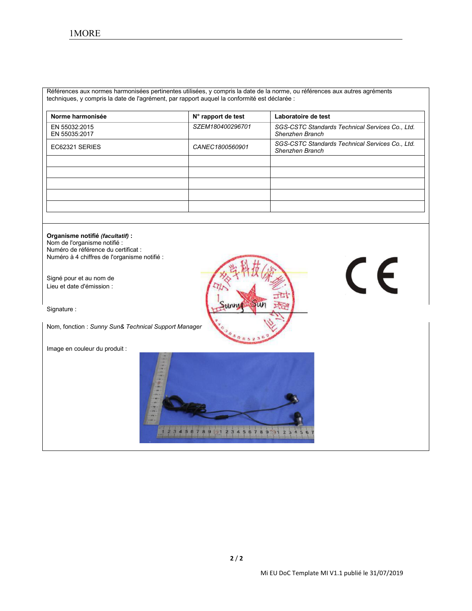Références aux normes harmonisées pertinentes utilisées, y compris la date de la norme, ou références aux autres agréments techniques, y compris la date de l'agrément, par rapport auquel la conformité est déclarée :

| Norme harmonisée               | N° rapport de test | Laboratoire de test                                                |
|--------------------------------|--------------------|--------------------------------------------------------------------|
| EN 55032:2015<br>EN 55035:2017 | SZEM180400296701   | SGS-CSTC Standards Technical Services Co., Ltd.<br>Shenzhen Branch |
| EC62321 SERIES                 | CANEC1800560901    | SGS-CSTC Standards Technical Services Co., Ltd.<br>Shenzhen Branch |
|                                |                    |                                                                    |
|                                |                    |                                                                    |
|                                |                    |                                                                    |
|                                |                    |                                                                    |
|                                |                    |                                                                    |

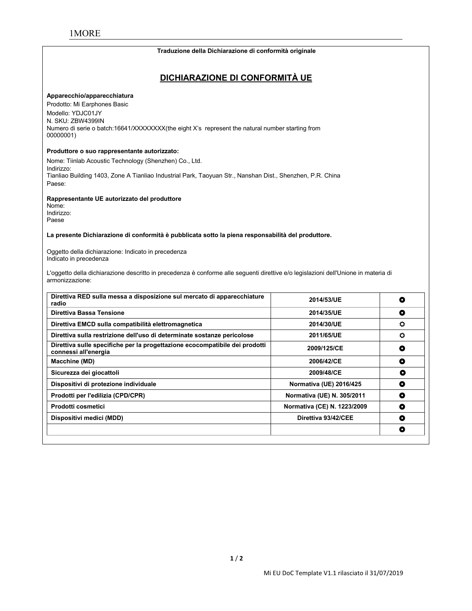#### **Traduzione della Dichiarazione di conformità originale**

# **DICHIARAZIONE DI CONFORMITÀ UE**

#### **Apparecchio/apparecchiatura**

Prodotto: Mi Earphones Basic Modello: YDJC01JY N. SKU: ZBW4399IN Numero di serie o batch:16641/XXXXXXXX(the eight X's represent the natural number starting from 00000001)

#### **Produttore o suo rappresentante autorizzato:**

Nome: Tiinlab Acoustic Technology (Shenzhen) Co., Ltd. Indirizzo: Tianliao Building 1403, Zone A Tianliao Industrial Park, Taoyuan Str., Nanshan Dist., Shenzhen, P.R. China Paese:

#### **Rappresentante UE autorizzato del produttore**

Nome: Indirizzo: Paese

**La presente Dichiarazione di conformità è pubblicata sotto lapiena responsabilità del produttore.**

Oggetto della dichiarazione: Indicato in precedenza Indicato in precedenza

L'oggetto della dichiarazione descritto in precedenza è conforme alle seguenti direttive e/o legislazioni dell'Unione in materia di armonizzazione:

| Direttiva RED sulla messa a disposizione sul mercato di apparecchiature<br>radio                    | 2014/53/UE                  | O |
|-----------------------------------------------------------------------------------------------------|-----------------------------|---|
| Direttiva Bassa Tensione                                                                            | 2014/35/UE                  | O |
| Direttiva EMCD sulla compatibilità elettromagnetica                                                 | 2014/30/UE                  | o |
| Direttiva sulla restrizione dell'uso di determinate sostanze pericolose                             | 2011/65/UE                  | o |
| Direttiva sulle specifiche per la progettazione ecocompatibile dei prodotti<br>connessi all'energia | 2009/125/CE                 | ٥ |
| Macchine (MD)                                                                                       | 2006/42/CE                  | ٥ |
| Sicurezza dei giocattoli                                                                            | 2009/48/CE                  | О |
| Dispositivi di protezione individuale                                                               | Normativa (UE) 2016/425     | O |
| Prodotti per l'edilizia (CPD/CPR)                                                                   | Normativa (UE) N. 305/2011  | ۰ |
| Prodotti cosmetici                                                                                  | Normativa (CE) N. 1223/2009 | ۰ |
| Dispositivi medici (MDD)                                                                            | Direttiva 93/42/CEE         | O |
|                                                                                                     |                             | O |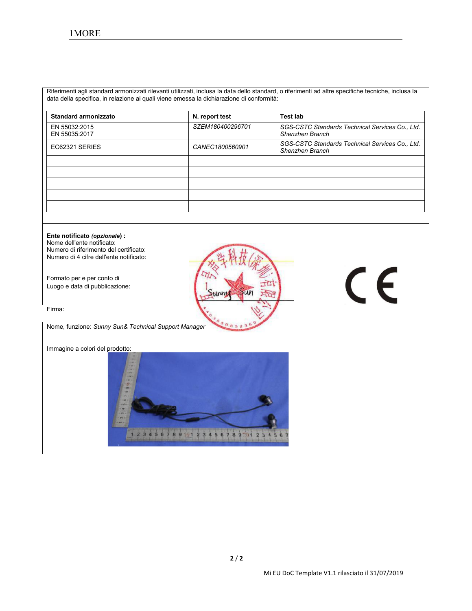Riferimenti agli standard armonizzati rilevanti utilizzati, inclusa la data dello standard, o riferimenti ad altre specifiche tecniche, inclusa la data della specifica, in relazione ai quali viene emessa la dichiarazione di conformità:

| Standard armonizzato           | N. report test   | Test lab                                                           |
|--------------------------------|------------------|--------------------------------------------------------------------|
| EN 55032:2015<br>EN 55035:2017 | SZEM180400296701 | SGS-CSTC Standards Technical Services Co., Ltd.<br>Shenzhen Branch |
| EC62321 SERIES                 | CANEC1800560901  | SGS-CSTC Standards Technical Services Co., Ltd.<br>Shenzhen Branch |
|                                |                  |                                                                    |
|                                |                  |                                                                    |
|                                |                  |                                                                    |
|                                |                  |                                                                    |
|                                |                  |                                                                    |

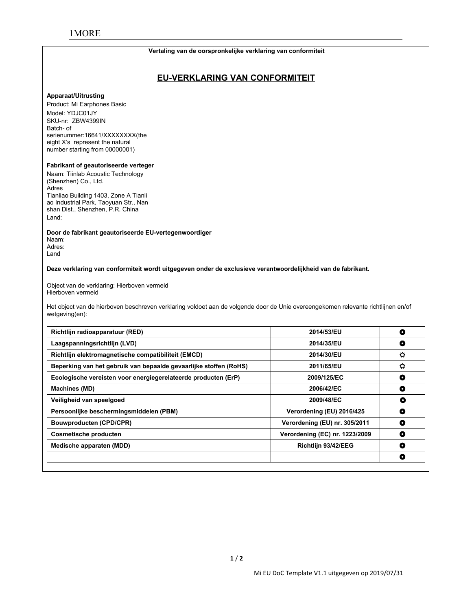# 1MORE

#### **Vertaling van de oorspronkelijke verklaring van conformiteit**

# **EU-VERKLARING VAN CONFORMITEIT**

#### **Apparaat/Uitrusting**

Product: Mi Earphones Basic Model: YDJC01JY SKU-nr: ZBW4399IN<br>Batch- of serienummer:16641/XXXXXXXX(the eight X's represent the natural number starting from 00000001)

#### **Fabrikant of geautoriseerde verteger**

Naam: Tiinlab Acoustic Technology (Shenzhen) Co., Ltd. Adres Tianliao Building 1403, Zone A Tianli ao Industrial Park, Taoyuan Str., Nan shan Dist., Shenzhen, P.R. China Land:

**Door de fabrikant geautoriseerde EU-vertegenwoordiger**

Naam: Adres: Land

**Deze verklaring van conformiteit wordt uitgegeven onder de exclusieve verantwoordelijkheid van de fabrikant.**

Object van de verklaring: Hierboven vermeld Hierboven vermeld

Het object van de hierboven beschreven verklaring voldoet aan de volgende door de Unie overeengekomen relevante richtlijnen en/of wetgeving(en):

| Richtlijn radioapparatuur (RED)                                   | 2014/53/EU                     | O       |
|-------------------------------------------------------------------|--------------------------------|---------|
| Laagspanningsrichtlijn (LVD)                                      | 2014/35/EU                     | O       |
| Richtlijn elektromagnetische compatibiliteit (EMCD)               | 2014/30/EU                     | $\circ$ |
| Beperking van het gebruik van bepaalde gevaarlijke stoffen (RoHS) | 2011/65/EU                     | ۰       |
| Ecologische vereisten voor energiegerelateerde producten (ErP)    | 2009/125/EC                    | O       |
| <b>Machines (MD)</b>                                              | 2006/42/EC                     | о       |
| Veiligheid van speelgoed                                          | 2009/48/EC                     | O       |
| Persoonlijke beschermingsmiddelen (PBM)                           | Verordening (EU) 2016/425      | O       |
| <b>Bouwproducten (CPD/CPR)</b>                                    | Verordening (EU) nr. 305/2011  | o       |
| <b>Cosmetische producten</b>                                      | Verordening (EC) nr. 1223/2009 | O       |
| Medische apparaten (MDD)                                          | Richtlijn 93/42/EEG            | ٥       |
|                                                                   |                                | ۰       |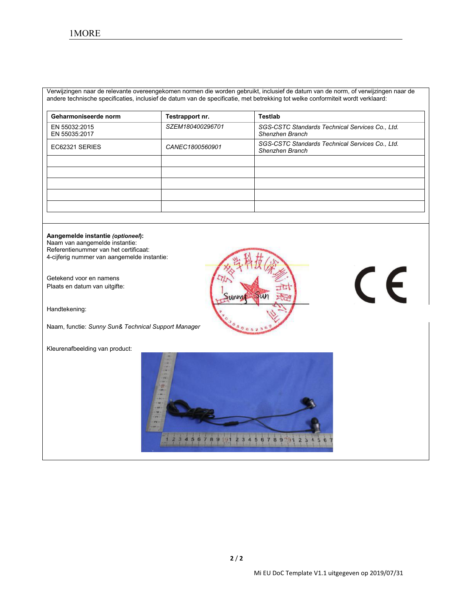Verwijzingen naar de relevante overeengekomen normen die worden gebruikt, inclusief de datum van de norm, of verwijzingen naar de andere technische specificaties, inclusief de datum van de specificatie, met betrekking tot welke conformiteitwordt verklaard:

| Geharmoniseerde norm           | Testrapport nr.  | Testlab                                                            |
|--------------------------------|------------------|--------------------------------------------------------------------|
| EN 55032:2015<br>EN 55035:2017 | SZEM180400296701 | SGS-CSTC Standards Technical Services Co., Ltd.<br>Shenzhen Branch |
| EC62321 SERIES                 | CANEC1800560901  | SGS-CSTC Standards Technical Services Co., Ltd.<br>Shenzhen Branch |
|                                |                  |                                                                    |
|                                |                  |                                                                    |
|                                |                  |                                                                    |
|                                |                  |                                                                    |
|                                |                  |                                                                    |

#### **Aangemelde instantie** *(optioneel***):**

Naam van aangemelde instantie: Referentienummer van het certificaat: 4-cijferig nummer van aangemelde instantie:

Getekend voor en namens Plaats en datum van uitgifte:

Handtekening:

Naam, functie: *Sunny Sun& Technical Support Manager*

Kleurenafbeelding van product:



# $C \in$

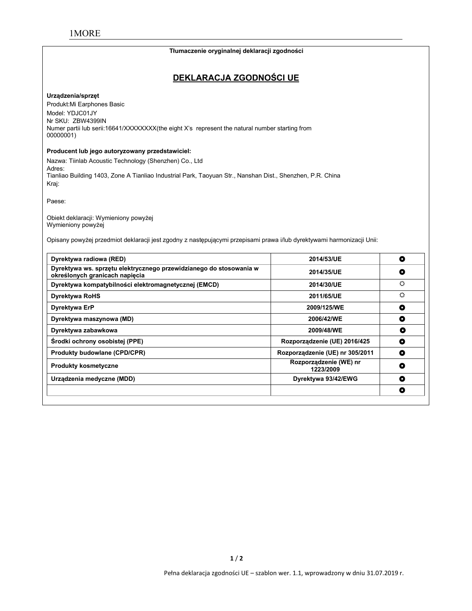#### **Tłumaczenie oryginalnej deklaracji zgodności**

# **DEKLARACJA ZGODNOŚCI UE**

#### **Urządzenia/sprzęt**

Produkt:Mi Earphones Basic Model: YDJC01JY Nr SKU: ZBW4399IN Numer partii lub serii:16641/XXXXXXX(the eight X's represent the natural number starting from 00000001)

#### **Producent lub jego autoryzowany przedstawiciel:**

Nazwa: Tiinlab Acoustic Technology (Shenzhen) Co., Ltd Adres: Tianliao Building 1403, Zone A Tianliao Industrial Park, Taoyuan Str., Nanshan Dist., Shenzhen, P.R. China Kraj:

Paese:

Obiekt deklaracji: Wymieniony powyżej Wymieniony powyżej

Opisany powyżej przedmiot deklaracji jest zgodny z następującymi przepisami prawa i/lub dyrektywami harmonizacji Unii:

| Dyrektywa radiowa (RED)                                                                              | 2014/53/UE                          | O |
|------------------------------------------------------------------------------------------------------|-------------------------------------|---|
| Dyrektywa ws. sprzętu elektrycznego przewidzianego do stosowania w<br>określonych granicach napiecia | 2014/35/UE                          | O |
| Dyrektywa kompatybilności elektromagnetycznej (EMCD)                                                 | 2014/30/UE                          | ♦ |
| <b>Dyrektywa RoHS</b>                                                                                | 2011/65/UE                          | ♦ |
| Dyrektywa ErP                                                                                        | 2009/125/WE                         | O |
| Dyrektywa maszynowa (MD)                                                                             | 2006/42/WE                          | O |
| Dyrektywa zabawkowa                                                                                  | 2009/48/WE                          | O |
| Środki ochrony osobistej (PPE)                                                                       | Rozporządzenie (UE) 2016/425        | O |
| <b>Produkty budowlane (CPD/CPR)</b>                                                                  | Rozporządzenie (UE) nr 305/2011     | O |
| <b>Produkty kosmetyczne</b>                                                                          | Rozporządzenie (WE) nr<br>1223/2009 | ۰ |
| Urządzenia medyczne (MDD)                                                                            | Dyrektywa 93/42/EWG                 | ۰ |
|                                                                                                      |                                     | O |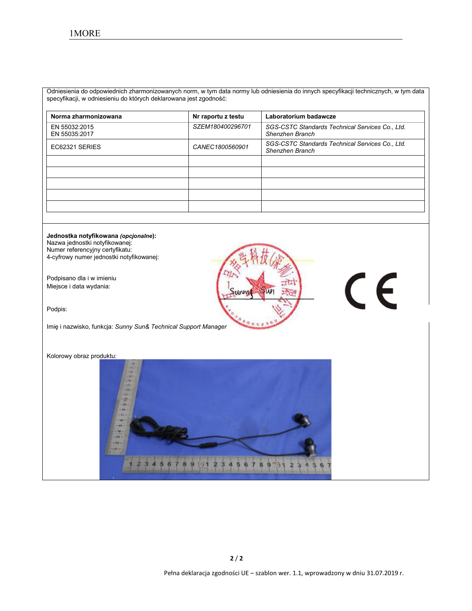Odniesienia do odpowiednich zharmonizowanych norm, w tym data normy lub odniesienia do innych specyfikacji technicznych, w tym data specyfikacji, w odniesieniu do których deklarowana jest zgodność:

| Norma zharmonizowana           | Nr raportu z testu | Laboratorium badawcze                                              |
|--------------------------------|--------------------|--------------------------------------------------------------------|
| EN 55032:2015<br>EN 55035:2017 | SZEM180400296701   | SGS-CSTC Standards Technical Services Co., Ltd.<br>Shenzhen Branch |
| EC62321 SERIES                 | CANEC1800560901    | SGS-CSTC Standards Technical Services Co., Ltd.<br>Shenzhen Branch |
|                                |                    |                                                                    |
|                                |                    |                                                                    |
|                                |                    |                                                                    |
|                                |                    |                                                                    |
|                                |                    |                                                                    |

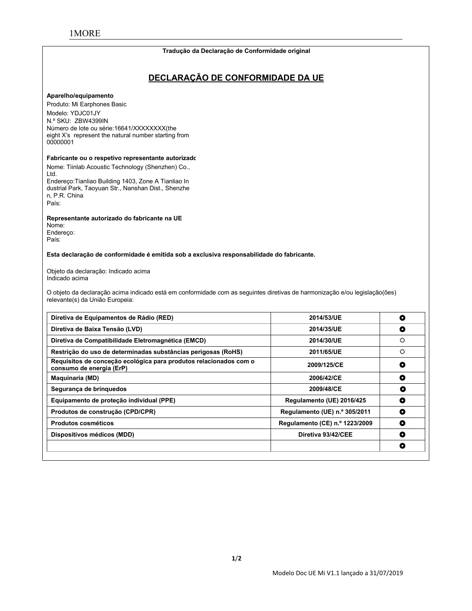#### **Tradução da Declaração de Conformidade original**

# **DECLARAÇÃO DE CONFORMIDADE DA UE**

#### **Aparelho/equipamento**

Produto: Mi Earphones Basic Modelo: YDJC01JY N.º SKU: ZBW4399IN Número de lote ou série:16641/XXXXXXXX(the eight X's represent the natural number starting from 00000001

#### **Fabricante ou o respetivo representante autorizado:**

Nome: Tiinlab Acoustic Technology (Shenzhen) Co., Ltd. Endereço:Tianliao Building 1403, Zone A Tianliao In dustrial Park, Taoyuan Str., Nanshan Dist., Shenzhe n, P.R. China

**Representante autorizado do fabricante na UE**

Nome: Endereço: País:

País:

**Esta declaração de conformidade é emitida sob a exclusiva responsabilidade do fabricante.**

Objeto da declaração: Indicado acima Indicado acima

O objeto da declaração acima indicado está em conformidade com as seguintes diretivas de harmonização e/ou legislação(ões) relevante(s) da União Europeia:

| Diretiva de Equipamentos de Rádio (RED)                                                       | 2014/53/UE                     | o |
|-----------------------------------------------------------------------------------------------|--------------------------------|---|
| Diretiva de Baixa Tensão (LVD)                                                                | 2014/35/UE                     | О |
| Diretiva de Compatibilidade Eletromagnética (EMCD)                                            | 2014/30/UE                     | ♦ |
| Restrição do uso de determinadas substâncias perigosas (RoHS)                                 | 2011/65/UE                     | ♦ |
| Requisitos de conceção ecológica para produtos relacionados com o<br>consumo de energia (ErP) | 2009/125/CE                    | O |
| <b>Maguinaria (MD)</b>                                                                        | 2006/42/CE                     | O |
| Segurança de bringuedos                                                                       | 2009/48/CE                     | O |
| Equipamento de proteção individual (PPE)                                                      | Regulamento (UE) 2016/425      | O |
| Produtos de construção (CPD/CPR)                                                              | Regulamento (UE) n.º 305/2011  | ۰ |
| <b>Produtos cosméticos</b>                                                                    | Regulamento (CE) n.º 1223/2009 | O |
| Dispositivos médicos (MDD)                                                                    | Diretiva 93/42/CEE             | O |
|                                                                                               |                                | O |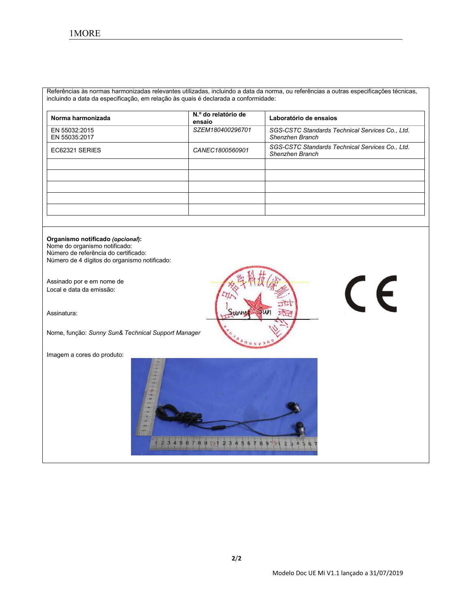Referências às normas harmonizadas relevantes utilizadas, incluindo a data da norma, ou referências a outras especificações técnicas, incluindo a data da especificação, em relação às quais é declarada a conformidade:

| Norma harmonizada              | N.º do relatório de<br>ensaio | Laboratório de ensaios                                             |
|--------------------------------|-------------------------------|--------------------------------------------------------------------|
| EN 55032:2015<br>EN 55035:2017 | SZEM180400296701              | SGS-CSTC Standards Technical Services Co., Ltd.<br>Shenzhen Branch |
| EC62321 SERIES                 | CANEC1800560901               | SGS-CSTC Standards Technical Services Co., Ltd.<br>Shenzhen Branch |
|                                |                               |                                                                    |
|                                |                               |                                                                    |
|                                |                               |                                                                    |
|                                |                               |                                                                    |

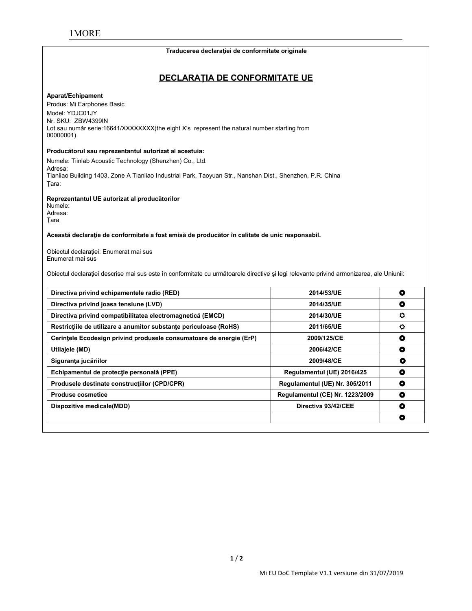#### **Traducerea declaraţiei de conformitate originale**

# **DECLARAŢIA DE CONFORMITATE UE**

#### **Aparat/Echipament**

Produs: Mi Earphones Basic Model: YDJC01JY Nr. SKU: ZBW4399IN Lot sau număr serie:16641/XXXXXXX(the eight X's represent the natural number starting from 00000001)

#### **Producătorul sau reprezentantul autorizat al acestuia:**

Numele: Tiinlab Acoustic Technology (Shenzhen) Co., Ltd. Adresa: Tianliao Building 1403, Zone A Tianliao Industrial Park, Taoyuan Str., Nanshan Dist., Shenzhen, P.R. China Ţara:

**Reprezentantul UE autorizat al producătorilor**

Numele: Adresa: Ţara

**Această declaraţie de conformitate a fost emisă de producător în calitate de unic responsabil.**

Obiectul declaraţiei: Enumerat mai sus Enumerat mai sus

Obiectul declaraţiei descrise mai sus este în conformitate cu următoarele directive şi legi relevante privind armonizarea, ale Uniunii:

| Directiva privind echipamentele radio (RED)                         | 2014/53/UE                      | ۰         |
|---------------------------------------------------------------------|---------------------------------|-----------|
| Directiva privind joasa tensiune (LVD)                              | 2014/35/UE                      | ۰         |
| Directiva privind compatibilitatea electromagnetică (EMCD)          | 2014/30/UE                      | ٥         |
| Restrictiile de utilizare a anumitor substante periculoase (RoHS)   | 2011/65/UE                      | o         |
| Cerintele Ecodesign privind produsele consumatoare de energie (ErP) | 2009/125/CE                     | ۰         |
| Utilajele (MD)                                                      | 2006/42/CE                      | O         |
| Siguranța jucăriilor                                                | 2009/48/CE                      | O         |
| Echipamentul de protecție personală (PPE)                           | Regulamentul (UE) 2016/425      | O         |
| Produsele destinate constructiilor (CPD/CPR)                        | Regulamentul (UE) Nr. 305/2011  | ۰         |
| <b>Produse cosmetice</b>                                            | Regulamentul (CE) Nr. 1223/2009 | $\bullet$ |
| Dispozitive medicale(MDD)                                           | Directiva 93/42/CEE             | ٥         |
|                                                                     |                                 | 0         |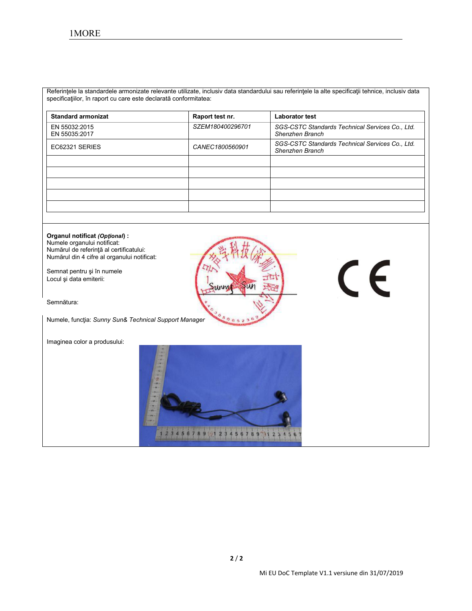Referinţele la standardele armonizate relevante utilizate, inclusiv data standardului sau referinţele la alte specificaţii tehnice, inclusiv data specificaţiilor, în raport cu care este declarată conformitatea:

| <b>Standard armonizat</b>      | Raport test nr.  | <b>Laborator test</b>                                              |
|--------------------------------|------------------|--------------------------------------------------------------------|
| EN 55032:2015<br>EN 55035:2017 | SZEM180400296701 | SGS-CSTC Standards Technical Services Co., Ltd.<br>Shenzhen Branch |
| EC62321 SERIES                 | CANEC1800560901  | SGS-CSTC Standards Technical Services Co., Ltd.<br>Shenzhen Branch |
|                                |                  |                                                                    |
|                                |                  |                                                                    |
|                                |                  |                                                                    |
|                                |                  |                                                                    |
|                                |                  |                                                                    |

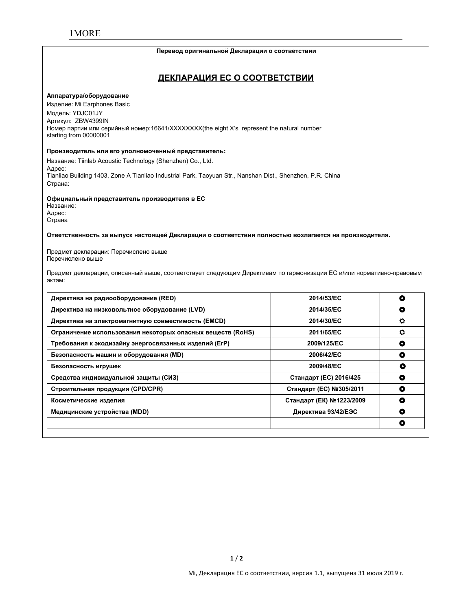#### **Перевод оригинальной Декларации о соответствии**

# **ДЕКЛАРАЦИЯ ЕС О СООТВЕТСТВИИ**

#### **Аппаратура/оборудование**

Изделие: Mi Earphones Basic Модель: YDJC01JY Артикул: ZBW4399IN Номер партии или серийный номер:16641/XXXXXXXX(the eight X's represent the natural number starting from 00000001

#### **Производитель или его уполномоченный представитель:**

Название: Tiinlab Acoustic Technology (Shenzhen) Co., Ltd. Адрес: Tianliao Building 1403, Zone A Tianliao Industrial Park, Taoyuan Str., Nanshan Dist., Shenzhen, P.R. China Страна:

#### **Официальный представитель производителя в ЕС**

Название: Адрес: Страна

**Ответственность за выпуск настоящей Декларации о соответствии полностью возлагается на производителя.**

Предмет декларации: Перечислено выше Перечислено выше

Предмет декларации, описанный выше, соответствует следующим Директивам по гармонизации ЕС и/или нормативно-правовым актам:

| Директива на радиооборудование (RED)                       | 2014/53/EC               | O |
|------------------------------------------------------------|--------------------------|---|
| Директива на низковольтное оборудование (LVD)              | 2014/35/EC               | O |
| Директива на электромагнитную совместимость (EMCD)         | 2014/30/EC               | ٥ |
| Ограничение использования некоторых опасных веществ (RoHS) | 2011/65/EC               | o |
| Требования к экодизайну энергосвязанных изделий (ErP)      | 2009/125/EC              | O |
| Безопасность машин и оборудования (MD)                     | 2006/42/EC               | O |
| Безопасность игрушек                                       | 2009/48/EC               | O |
| Средства индивидуальной защиты (СИЗ)                       | Стандарт (ЕС) 2016/425   | O |
| Строительная продукция (CPD/CPR)                           | Стандарт (ЕС) №305/2011  | O |
| Косметические изделия                                      | Стандарт (ЕК) №1223/2009 | ۰ |
| Медицинские устройства (MDD)                               | Директива 93/42/ЕЭС      | ٥ |
|                                                            |                          | O |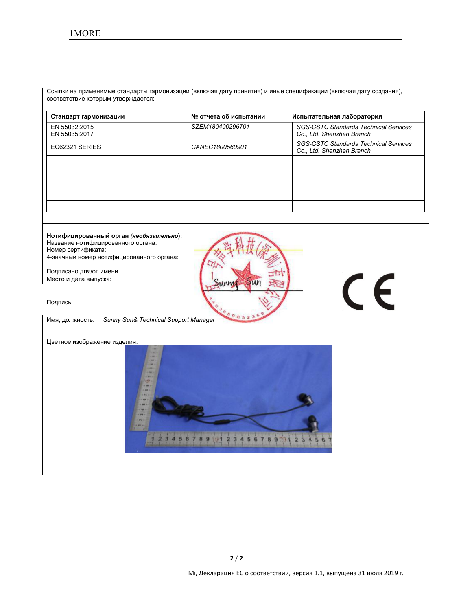Ссылки на применимые стандарты гармонизации (включая дату принятия) и иные спецификации (включая дату создания), соответствие которым утверждается:

| Стандарт гармонизации          | № отчета об испытании | Испытательная лаборатория                                                 |
|--------------------------------|-----------------------|---------------------------------------------------------------------------|
| EN 55032:2015<br>EN 55035:2017 | SZEM180400296701      | <b>SGS-CSTC Standards Technical Services</b><br>Co., Ltd. Shenzhen Branch |
| EC62321 SERIES                 | CANEC1800560901       | <b>SGS-CSTC Standards Technical Services</b><br>Co., Ltd. Shenzhen Branch |
|                                |                       |                                                                           |
|                                |                       |                                                                           |
|                                |                       |                                                                           |
|                                |                       |                                                                           |
|                                |                       |                                                                           |

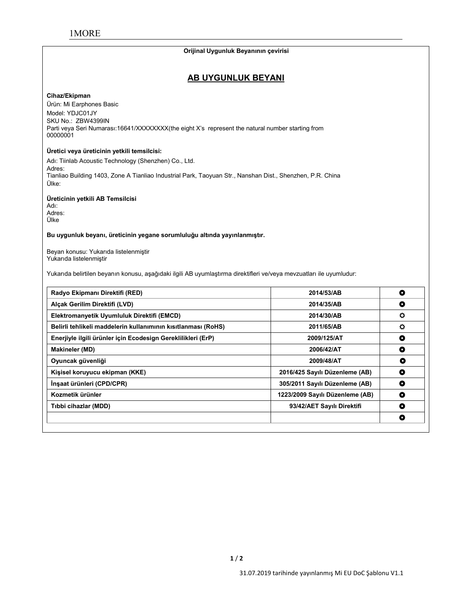#### **Orijinal Uygunluk Beyanının çevirisi**

# **AB UYGUNLUK BEYANI**

#### **Cihaz/Ekipman**

Ürün: Mi Earphones Basic Model: YDJC01JY SKU No.: ZBW4399IN Parti veya Seri Numarası:16641/XXXXXXX(the eight X's represent the natural number starting from 00000001

#### **Üretici veya üreticinin yetkili temsilcisi:**

Adı: Tiinlab Acoustic Technology (Shenzhen) Co., Ltd. Adres: Tianliao Building 1403, Zone A Tianliao Industrial Park, Taoyuan Str., Nanshan Dist., Shenzhen, P.R. China Ülke:

#### **Üreticinin yetkili AB Temsilcisi**

Adı: Adres: Ülke

#### **Bu uygunluk beyanı, üreticinin yegane sorumluluğu altında yayınlanmıştır.**

Beyan konusu: Yukarıda listelenmiştir Yukarıda listelenmiştir

Yukarıda belirtilen beyanın konusu, aşağıdaki ilgili AB uyumlaştırma direktifleri ve/veya mevzuatları ile uyumludur:

| Radyo Ekipmanı Direktifi (RED)                                | 2014/53/AB                      | $\bullet$ |
|---------------------------------------------------------------|---------------------------------|-----------|
| Alcak Gerilim Direktifi (LVD)                                 | 2014/35/AB                      | O         |
| Elektromanyetik Uyumluluk Direktifi (EMCD)                    | 2014/30/AB                      | ۰         |
| Belirli tehlikeli maddelerin kullanımının kısıtlanması (RoHS) | 2011/65/AB                      | $\circ$   |
| Enerjiyle ilgili ürünler için Ecodesign Gereklilikleri (ErP)  | 2009/125/AT                     | O         |
| <b>Makineler (MD)</b>                                         | 2006/42/AT                      | ٥         |
| Oyuncak güvenliği                                             | 2009/48/AT                      | O         |
| Kişisel koruyucu ekipman (KKE)                                | 2016/425 Sayılı Düzenleme (AB)  | O         |
| İnşaat ürünleri (CPD/CPR)                                     | 305/2011 Sayılı Düzenleme (AB)  | O         |
| Kozmetik ürünler                                              | 1223/2009 Sayılı Düzenleme (AB) | O         |
| Tibbi cihazlar (MDD)                                          | 93/42/AET Sayılı Direktifi      | O         |
|                                                               |                                 | ۰         |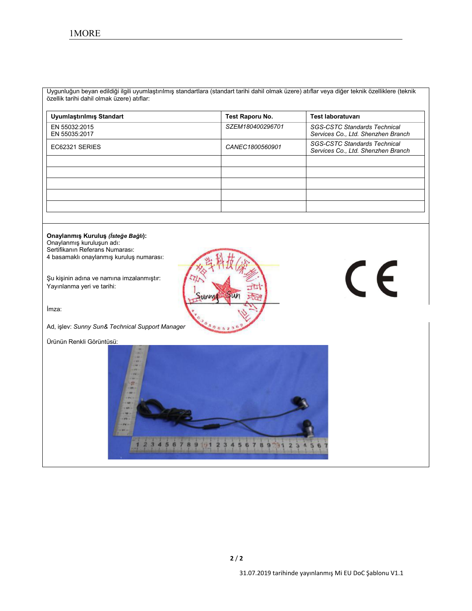Uygunluğun beyan edildiğiilgili uyumlaştırılmış standartlara (standart tarihi dahil olmak üzere) atıflar veya diğer teknik özelliklere (teknik özellik tarihi dahil olmak üzere) atıflar:

| Uyumlaştırılmış Standart       | Test Raporu No.  | Test laboratuvarı                                                         |
|--------------------------------|------------------|---------------------------------------------------------------------------|
| EN 55032:2015<br>EN 55035:2017 | SZEM180400296701 | <b>SGS-CSTC Standards Technical</b><br>Services Co., Ltd. Shenzhen Branch |
| EC62321 SERIES                 | CANEC1800560901  | <b>SGS-CSTC Standards Technical</b><br>Services Co., Ltd. Shenzhen Branch |
|                                |                  |                                                                           |
|                                |                  |                                                                           |
|                                |                  |                                                                           |
|                                |                  |                                                                           |
|                                |                  |                                                                           |

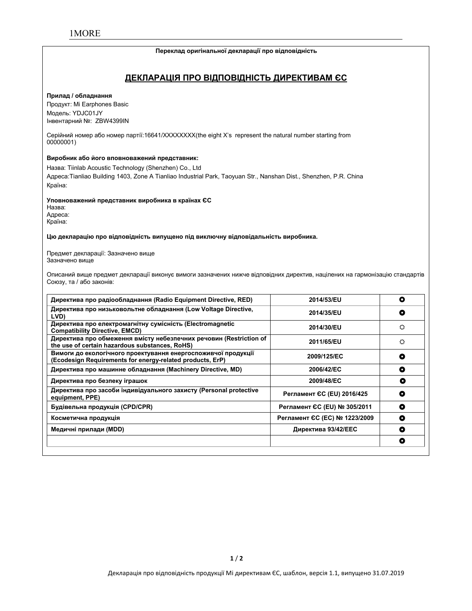#### **Переклад оригінальної декларації про відповідність**

# **ДЕКЛАРАЦІЯ ПРО ВІДПОВІДНІСТЬ ДИРЕКТИВАМ ЄС**

#### **Прилад / обладнання**

Продукт: Mi Earphones Basic Модель: YDJC01JY Інвентарний №: ZBW4399IN

Серійний номер або номер партії:16641/XXXXXXXX(the eight X's represent the natural number starting from 00000001)

#### **Виробник або його вповноважений представник:**

Назва: Tiinlab Acoustic Technology (Shenzhen) Co., Ltd Адреса:Tianliao Building 1403, Zone A Tianliao Industrial Park, Taoyuan Str., Nanshan Dist., Shenzhen, P.R. China Країна:

#### **Уповноважений представник виробника в країнах ЄС**

Назва: Адреса: Країна:

#### **Цю декларацію про відповідність випущено під виключну відповідальність виробника.**

Предмет декларації: Зазначено вище Зазначено вище

Описаний вище предмет декларації виконує вимоги зазначених нижче відповідних директив, націлених на гармонізацію стандартів Союзу, та / або законів:

| Директива про радіообладнання (Radio Equipment Directive, RED)                                                             | 2014/53/EU                    | O |
|----------------------------------------------------------------------------------------------------------------------------|-------------------------------|---|
| Директива про низьковольтне обладнання (Low Voltage Directive,<br>LVD)                                                     | 2014/35/EU                    | O |
| Директива про електромагнітну сумісність (Electromagnetic<br><b>Compatibility Directive, EMCD)</b>                         | 2014/30/EU                    | ٥ |
| Директива про обмеження вмісту небезпечних речовин (Restriction of<br>the use of certain hazardous substances, RoHS)       | 2011/65/EU                    | ٥ |
| Вимоги до екологічного проектування енергоспоживчої продукції<br>(Ecodesign Requirements for energy-related products, ErP) | 2009/125/EC                   | ۰ |
| Директива про машинне обладнання (Machinery Directive, MD)                                                                 | 2006/42/EC                    | ٥ |
| Директива про безпеку іграшок                                                                                              | 2009/48/EC                    | о |
| Директива про засоби індивідуального захисту (Personal protective<br>equipment, PPE)                                       | Регламент СС (EU) 2016/425    | O |
| Будівельна продукція (CPD/CPR)                                                                                             | Регламент ЄС (EU) № 305/2011  | ٥ |
| Косметична продукція                                                                                                       | Регламент ЄС (ЕС) № 1223/2009 | ٥ |
| Медичні прилади (MDD)                                                                                                      | Директива 93/42/ЕЕС           | ۰ |
|                                                                                                                            |                               | O |